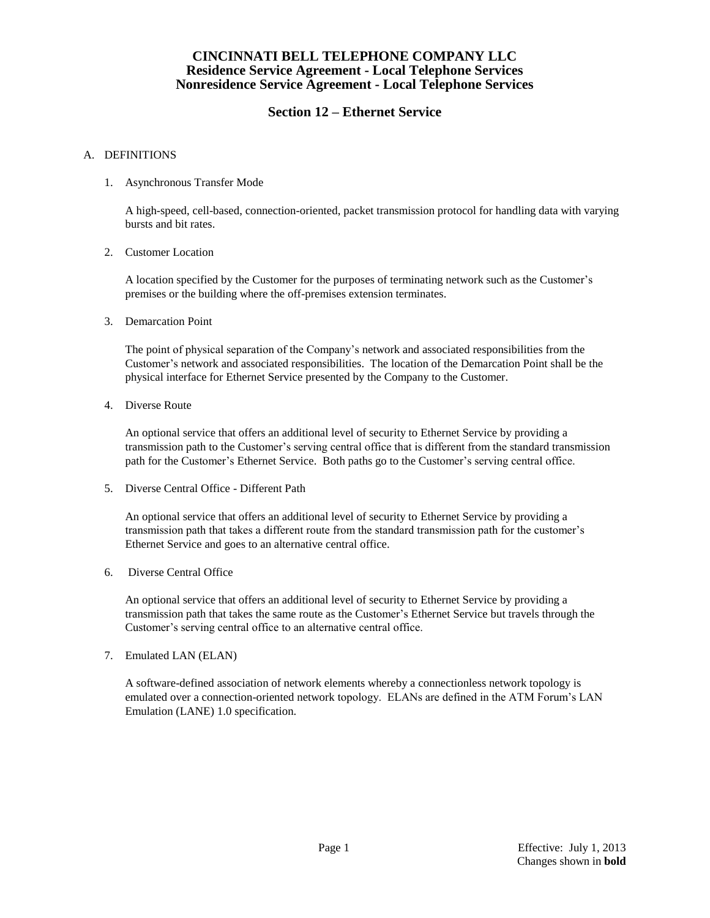# **Section 12 – Ethernet Service**

#### A. DEFINITIONS

1. Asynchronous Transfer Mode

A high-speed, cell-based, connection-oriented, packet transmission protocol for handling data with varying bursts and bit rates.

2. Customer Location

A location specified by the Customer for the purposes of terminating network such as the Customer's premises or the building where the off-premises extension terminates.

3. Demarcation Point

The point of physical separation of the Company's network and associated responsibilities from the Customer's network and associated responsibilities. The location of the Demarcation Point shall be the physical interface for Ethernet Service presented by the Company to the Customer.

4. Diverse Route

An optional service that offers an additional level of security to Ethernet Service by providing a transmission path to the Customer's serving central office that is different from the standard transmission path for the Customer's Ethernet Service. Both paths go to the Customer's serving central office.

5. Diverse Central Office - Different Path

An optional service that offers an additional level of security to Ethernet Service by providing a transmission path that takes a different route from the standard transmission path for the customer's Ethernet Service and goes to an alternative central office.

6. Diverse Central Office

An optional service that offers an additional level of security to Ethernet Service by providing a transmission path that takes the same route as the Customer's Ethernet Service but travels through the Customer's serving central office to an alternative central office.

7. Emulated LAN (ELAN)

A software-defined association of network elements whereby a connectionless network topology is emulated over a connection-oriented network topology. ELANs are defined in the ATM Forum's LAN Emulation (LANE) 1.0 specification.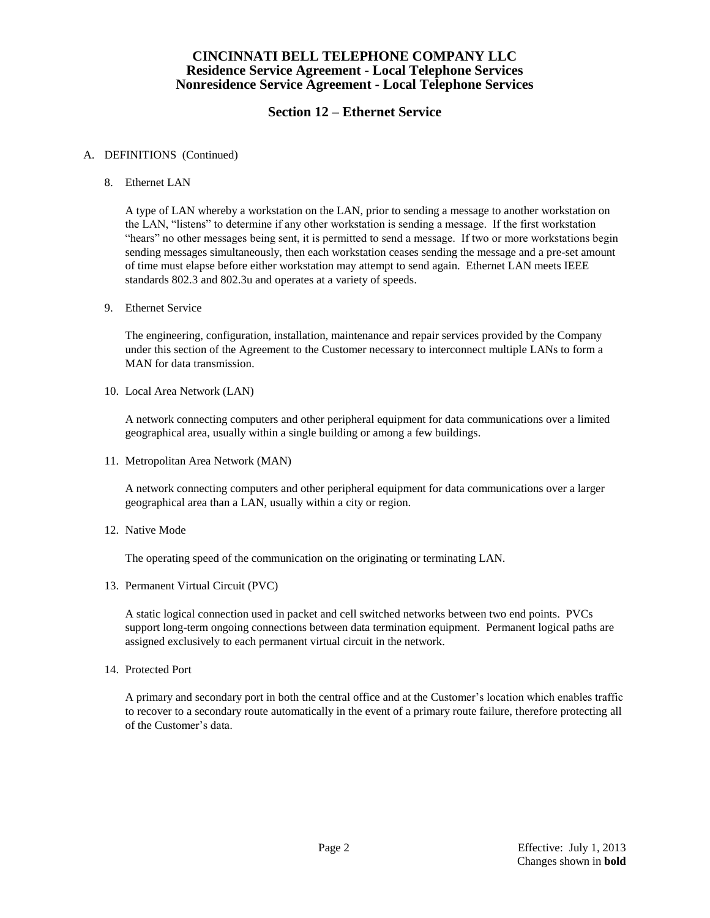# **Section 12 – Ethernet Service**

#### A. DEFINITIONS (Continued)

8. Ethernet LAN

A type of LAN whereby a workstation on the LAN, prior to sending a message to another workstation on the LAN, "listens" to determine if any other workstation is sending a message. If the first workstation "hears" no other messages being sent, it is permitted to send a message. If two or more workstations begin sending messages simultaneously, then each workstation ceases sending the message and a pre-set amount of time must elapse before either workstation may attempt to send again. Ethernet LAN meets IEEE standards 802.3 and 802.3u and operates at a variety of speeds.

9. Ethernet Service

The engineering, configuration, installation, maintenance and repair services provided by the Company under this section of the Agreement to the Customer necessary to interconnect multiple LANs to form a MAN for data transmission.

10. Local Area Network (LAN)

A network connecting computers and other peripheral equipment for data communications over a limited geographical area, usually within a single building or among a few buildings.

11. Metropolitan Area Network (MAN)

A network connecting computers and other peripheral equipment for data communications over a larger geographical area than a LAN, usually within a city or region.

12. Native Mode

The operating speed of the communication on the originating or terminating LAN.

13. Permanent Virtual Circuit (PVC)

A static logical connection used in packet and cell switched networks between two end points. PVCs support long-term ongoing connections between data termination equipment. Permanent logical paths are assigned exclusively to each permanent virtual circuit in the network.

14. Protected Port

A primary and secondary port in both the central office and at the Customer's location which enables traffic to recover to a secondary route automatically in the event of a primary route failure, therefore protecting all of the Customer's data.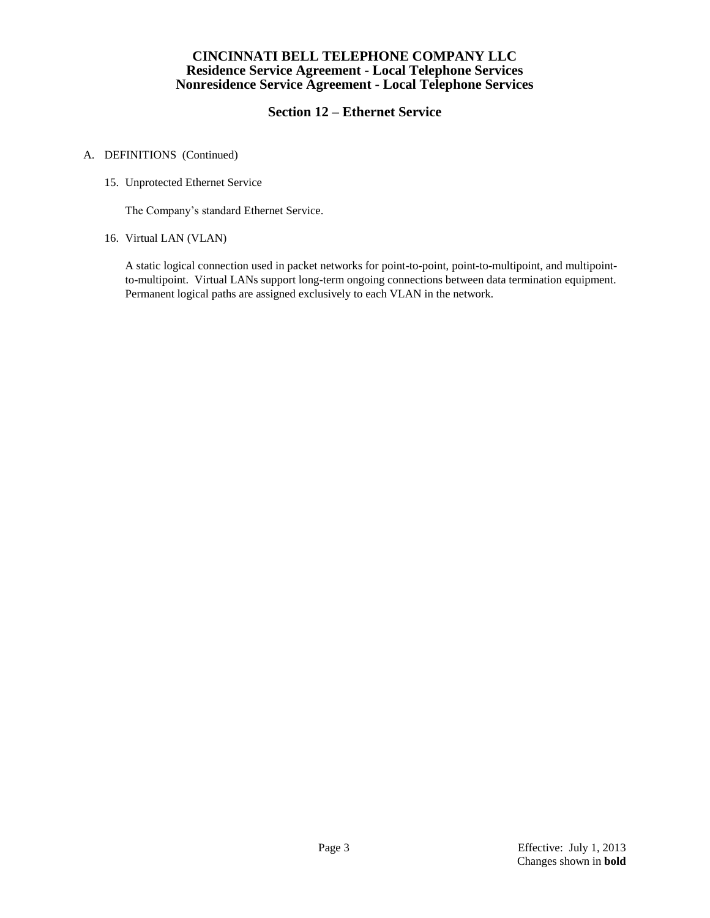# **Section 12 – Ethernet Service**

#### A. DEFINITIONS (Continued)

15. Unprotected Ethernet Service

The Company's standard Ethernet Service.

16. Virtual LAN (VLAN)

A static logical connection used in packet networks for point-to-point, point-to-multipoint, and multipointto-multipoint. Virtual LANs support long-term ongoing connections between data termination equipment. Permanent logical paths are assigned exclusively to each VLAN in the network.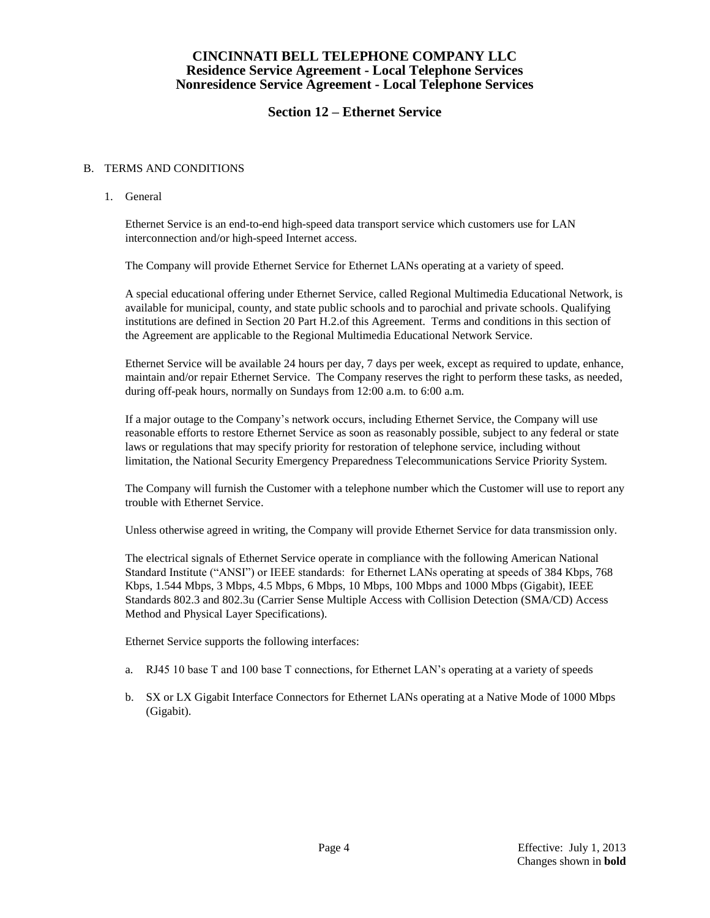## **Section 12 – Ethernet Service**

#### B. TERMS AND CONDITIONS

1. General

Ethernet Service is an end-to-end high-speed data transport service which customers use for LAN interconnection and/or high-speed Internet access.

The Company will provide Ethernet Service for Ethernet LANs operating at a variety of speed.

A special educational offering under Ethernet Service, called Regional Multimedia Educational Network, is available for municipal, county, and state public schools and to parochial and private schools. Qualifying institutions are defined in Section 20 Part H.2.of this Agreement. Terms and conditions in this section of the Agreement are applicable to the Regional Multimedia Educational Network Service.

Ethernet Service will be available 24 hours per day, 7 days per week, except as required to update, enhance, maintain and/or repair Ethernet Service. The Company reserves the right to perform these tasks, as needed, during off-peak hours, normally on Sundays from 12:00 a.m. to 6:00 a.m.

If a major outage to the Company's network occurs, including Ethernet Service, the Company will use reasonable efforts to restore Ethernet Service as soon as reasonably possible, subject to any federal or state laws or regulations that may specify priority for restoration of telephone service, including without limitation, the National Security Emergency Preparedness Telecommunications Service Priority System.

The Company will furnish the Customer with a telephone number which the Customer will use to report any trouble with Ethernet Service.

Unless otherwise agreed in writing, the Company will provide Ethernet Service for data transmission only.

The electrical signals of Ethernet Service operate in compliance with the following American National Standard Institute ("ANSI") or IEEE standards: for Ethernet LANs operating at speeds of 384 Kbps, 768 Kbps, 1.544 Mbps, 3 Mbps, 4.5 Mbps, 6 Mbps, 10 Mbps, 100 Mbps and 1000 Mbps (Gigabit), IEEE Standards 802.3 and 802.3u (Carrier Sense Multiple Access with Collision Detection (SMA/CD) Access Method and Physical Layer Specifications).

Ethernet Service supports the following interfaces:

- a. RJ45 10 base T and 100 base T connections, for Ethernet LAN's operating at a variety of speeds
- b. SX or LX Gigabit Interface Connectors for Ethernet LANs operating at a Native Mode of 1000 Mbps (Gigabit).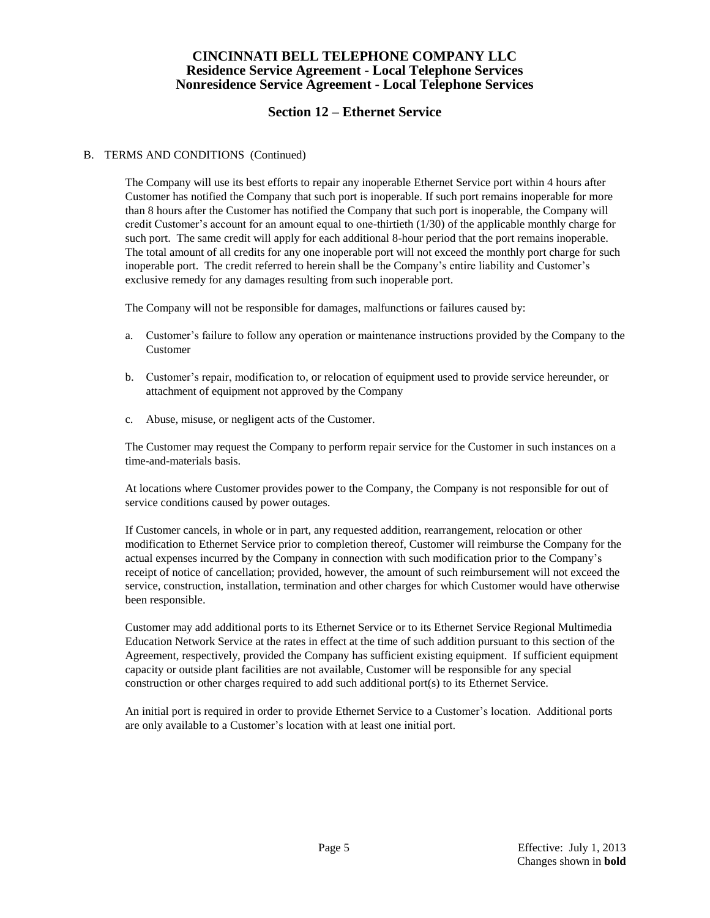## **Section 12 – Ethernet Service**

#### B. TERMS AND CONDITIONS (Continued)

The Company will use its best efforts to repair any inoperable Ethernet Service port within 4 hours after Customer has notified the Company that such port is inoperable. If such port remains inoperable for more than 8 hours after the Customer has notified the Company that such port is inoperable, the Company will credit Customer's account for an amount equal to one-thirtieth (1/30) of the applicable monthly charge for such port. The same credit will apply for each additional 8-hour period that the port remains inoperable. The total amount of all credits for any one inoperable port will not exceed the monthly port charge for such inoperable port. The credit referred to herein shall be the Company's entire liability and Customer's exclusive remedy for any damages resulting from such inoperable port.

The Company will not be responsible for damages, malfunctions or failures caused by:

- a. Customer's failure to follow any operation or maintenance instructions provided by the Company to the Customer
- b. Customer's repair, modification to, or relocation of equipment used to provide service hereunder, or attachment of equipment not approved by the Company
- c. Abuse, misuse, or negligent acts of the Customer.

The Customer may request the Company to perform repair service for the Customer in such instances on a time-and-materials basis.

At locations where Customer provides power to the Company, the Company is not responsible for out of service conditions caused by power outages.

If Customer cancels, in whole or in part, any requested addition, rearrangement, relocation or other modification to Ethernet Service prior to completion thereof, Customer will reimburse the Company for the actual expenses incurred by the Company in connection with such modification prior to the Company's receipt of notice of cancellation; provided, however, the amount of such reimbursement will not exceed the service, construction, installation, termination and other charges for which Customer would have otherwise been responsible.

Customer may add additional ports to its Ethernet Service or to its Ethernet Service Regional Multimedia Education Network Service at the rates in effect at the time of such addition pursuant to this section of the Agreement, respectively, provided the Company has sufficient existing equipment. If sufficient equipment capacity or outside plant facilities are not available, Customer will be responsible for any special construction or other charges required to add such additional port(s) to its Ethernet Service.

An initial port is required in order to provide Ethernet Service to a Customer's location. Additional ports are only available to a Customer's location with at least one initial port.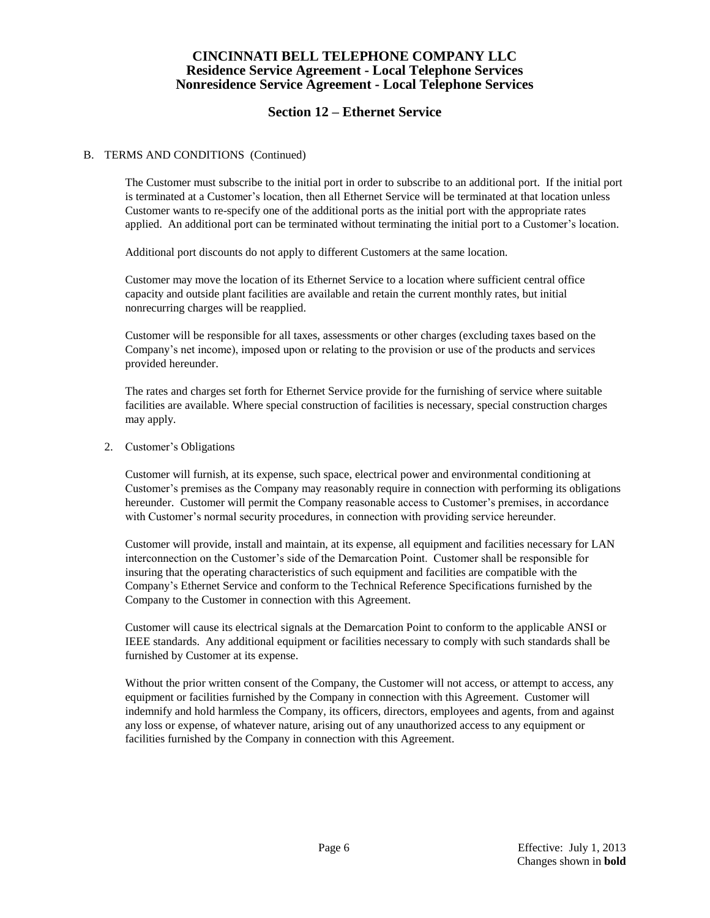## **Section 12 – Ethernet Service**

#### B. TERMS AND CONDITIONS (Continued)

The Customer must subscribe to the initial port in order to subscribe to an additional port. If the initial port is terminated at a Customer's location, then all Ethernet Service will be terminated at that location unless Customer wants to re-specify one of the additional ports as the initial port with the appropriate rates applied. An additional port can be terminated without terminating the initial port to a Customer's location.

Additional port discounts do not apply to different Customers at the same location.

Customer may move the location of its Ethernet Service to a location where sufficient central office capacity and outside plant facilities are available and retain the current monthly rates, but initial nonrecurring charges will be reapplied.

Customer will be responsible for all taxes, assessments or other charges (excluding taxes based on the Company's net income), imposed upon or relating to the provision or use of the products and services provided hereunder.

The rates and charges set forth for Ethernet Service provide for the furnishing of service where suitable facilities are available. Where special construction of facilities is necessary, special construction charges may apply.

2. Customer's Obligations

Customer will furnish, at its expense, such space, electrical power and environmental conditioning at Customer's premises as the Company may reasonably require in connection with performing its obligations hereunder. Customer will permit the Company reasonable access to Customer's premises, in accordance with Customer's normal security procedures, in connection with providing service hereunder.

Customer will provide, install and maintain, at its expense, all equipment and facilities necessary for LAN interconnection on the Customer's side of the Demarcation Point. Customer shall be responsible for insuring that the operating characteristics of such equipment and facilities are compatible with the Company's Ethernet Service and conform to the Technical Reference Specifications furnished by the Company to the Customer in connection with this Agreement.

Customer will cause its electrical signals at the Demarcation Point to conform to the applicable ANSI or IEEE standards. Any additional equipment or facilities necessary to comply with such standards shall be furnished by Customer at its expense.

Without the prior written consent of the Company, the Customer will not access, or attempt to access, any equipment or facilities furnished by the Company in connection with this Agreement. Customer will indemnify and hold harmless the Company, its officers, directors, employees and agents, from and against any loss or expense, of whatever nature, arising out of any unauthorized access to any equipment or facilities furnished by the Company in connection with this Agreement.